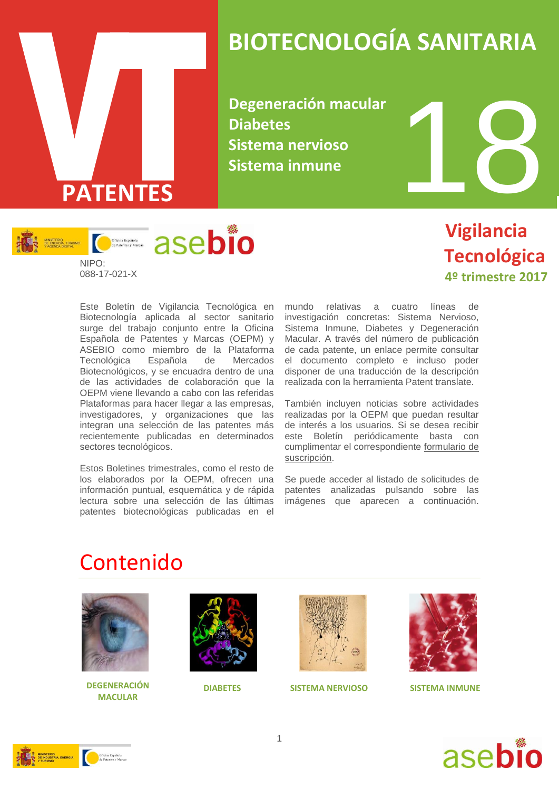

## **BIOTECNOLOGÍA SANITARIA**

**Degeneración macular Diabetes Sistema nervioso Sistema inmune**



## **Vigilancia Tecnológica 4º trimestre 2017**

Este Boletín de Vigilancia Tecnológica en Biotecnología aplicada al sector sanitario surge del trabajo conjunto entre la Oficina Española de Patentes y Marcas (OEPM) y ASEBIO como miembro de la Plataforma Tecnológica Española de Mercados Biotecnológicos, y se encuadra dentro de una de las actividades de colaboración que la OEPM viene llevando a cabo con las referidas Plataformas para hacer llegar a las empresas, investigadores, y organizaciones que las integran una selección de las patentes más recientemente publicadas en determinados sectores tecnológicos.

Estos Boletines trimestrales, como el resto de los elaborados por la OEPM, ofrecen una información puntual, esquemática y de rápida lectura sobre una selección de las últimas patentes biotecnológicas publicadas en el

mundo relativas a cuatro líneas de investigación concretas: Sistema Nervioso, Sistema Inmune, Diabetes y Degeneración Macular. A través del número de publicación de cada patente, un enlace permite consultar el documento completo e incluso poder disponer de una traducción de la descripción realizada con la herramienta Patent translate.

También incluyen noticias sobre actividades realizadas por la OEPM que puedan resultar de interés a los usuarios. Si se desea recibir este Boletín periódicamente basta con cumplimentar el correspondiente [formulario de](http://www.oepm.es/es/informacion_tecnologica/informacion_gratuita/boletines_de_vigilancia_tecnologica/formulario.html)  [suscripción.](http://www.oepm.es/es/informacion_tecnologica/informacion_gratuita/boletines_de_vigilancia_tecnologica/formulario.html)

Se puede acceder al listado de solicitudes de patentes analizadas pulsando sobre las imágenes que aparecen a continuación.

## Contenido



**DEGENERACIÓN DIABETES SISTEMA NERVIOSO MACULAR**







**SISTEMA INMUNE**



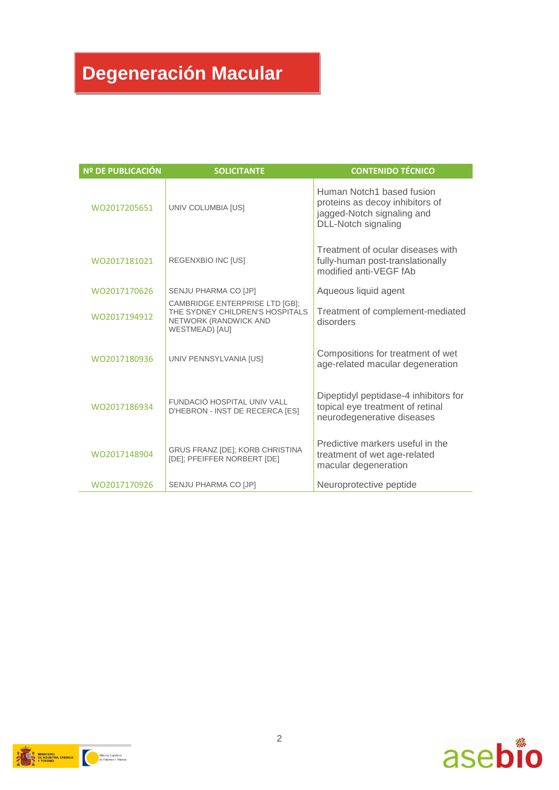## **Degeneración Macular**

| <b>Nº DE PUBLICACIÓN</b> | <b>SOLICITANTE</b>                                                                                                  | <b>CONTENIDO TÉCNICO</b>                                                                                          |
|--------------------------|---------------------------------------------------------------------------------------------------------------------|-------------------------------------------------------------------------------------------------------------------|
| WO2017205651             | UNIV COLUMBIA [US]                                                                                                  | Human Notch1 based fusion<br>proteins as decoy inhibitors of<br>jagged-Notch signaling and<br>DLL-Notch signaling |
| WQ2017181021             | REGENXBIO INC [US]                                                                                                  | Treatment of ocular diseases with<br>fully-human post-translationally<br>modified anti-VEGF fAb                   |
| WO2017170626             | SENJU PHARMA CO [JP]                                                                                                | Aqueous liquid agent                                                                                              |
| WO2017194912             | CAMBRIDGE ENTERPRISE LTD [GB];<br>THE SYDNEY CHILDREN'S HOSPITALS<br>NETWORK (RANDWICK AND<br><b>WESTMEAD)</b> [AU] | Treatment of complement-mediated<br>disorders                                                                     |
| WO2017180936             | UNIV PENNSYLVANIA [US]                                                                                              | Compositions for treatment of wet<br>age-related macular degeneration                                             |
| WO2017186934             | FUNDACIÓ HOSPITAL UNIV VALL<br>D'HEBRON - INST DE RECERCA [ES]                                                      | Dipeptidyl peptidase-4 inhibitors for<br>topical eye treatment of retinal<br>neurodegenerative diseases           |
| WO2017148904             | GRUS FRANZ [DE]; KORB CHRISTINA<br>[DE]; PFEIFFER NORBERT [DE]                                                      | Predictive markers useful in the<br>treatment of wet age-related<br>macular degeneration                          |
| WO2017170926             | SENJU PHARMA CO [JP]                                                                                                | Neuroprotective peptide                                                                                           |



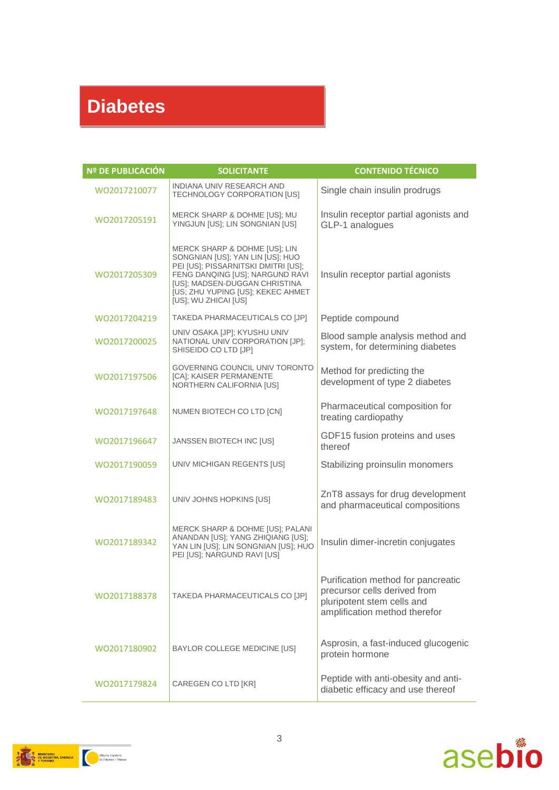## **Diabetes**

| Nº DE PUBLICACIÓN | <b>SOLICITANTE</b>                                                                                                                                                                                                                        | <b>CONTENIDO TÉCNICO</b>                                                                                                          |
|-------------------|-------------------------------------------------------------------------------------------------------------------------------------------------------------------------------------------------------------------------------------------|-----------------------------------------------------------------------------------------------------------------------------------|
| WO2017210077      | INDIANA UNIV RESEARCH AND<br>TECHNOLOGY CORPORATION [US]                                                                                                                                                                                  | Single chain insulin prodrugs                                                                                                     |
| WO2017205191      | MERCK SHARP & DOHME [US]; MU<br>YINGJUN [US]; LIN SONGNIAN [US]                                                                                                                                                                           | Insulin receptor partial agonists and<br>GLP-1 analogues                                                                          |
| WO2017205309      | MERCK SHARP & DOHME [US]; LIN<br>SONGNIAN [US]; YAN LIN [US]; HUO<br>PEI [US]; PISSARNITSKI DMITRI [US];<br>FENG DANQING [US]; NARGUND RAVI<br>[US]; MADSEN-DUGGAN CHRISTINA<br>[US; ZHU YUPING [US]; KEKEC AHMET<br>[US]; WU ZHICAI [US] | Insulin receptor partial agonists                                                                                                 |
| WO2017204219      | TAKEDA PHARMACEUTICALS CO [JP]                                                                                                                                                                                                            | Peptide compound                                                                                                                  |
| WO2017200025      | UNIV OSAKA [JP]; KYUSHU UNIV<br>NATIONAL UNIV CORPORATION [JP];<br>SHISEIDO CO LTD [JP]                                                                                                                                                   | Blood sample analysis method and<br>system, for determining diabetes                                                              |
| WO2017197506      | GOVERNING COUNCIL UNIV TORONTO<br>[CA]; KAISER PERMANENTE<br>NORTHERN CALIFORNIA [US]                                                                                                                                                     | Method for predicting the<br>development of type 2 diabetes                                                                       |
| WO2017197648      | NUMEN BIOTECH CO LTD [CN]                                                                                                                                                                                                                 | Pharmaceutical composition for<br>treating cardiopathy                                                                            |
| WO2017196647      | JANSSEN BIOTECH INC [US]                                                                                                                                                                                                                  | GDF15 fusion proteins and uses<br>thereof                                                                                         |
| WO2017190059      | UNIV MICHIGAN REGENTS [US]                                                                                                                                                                                                                | Stabilizing proinsulin monomers                                                                                                   |
| WO2017189483      | UNIV JOHNS HOPKINS [US]                                                                                                                                                                                                                   | ZnT8 assays for drug development<br>and pharmaceutical compositions                                                               |
| WO2017189342      | MERCK SHARP & DOHME [US]; PALANI<br>ANANDAN [US]; YANG ZHIQIANG [US];<br>YAN LIN [US]; LIN SONGNIAN [US]; HUO<br>PEI [US]; NARGUND RAVI [US]                                                                                              | Insulin dimer-incretin conjugates                                                                                                 |
| WO2017188378      | TAKEDA PHARMACEUTICALS CO [JP]                                                                                                                                                                                                            | Purification method for pancreatic<br>precursor cells derived from<br>pluripotent stem cells and<br>amplification method therefor |
| WO2017180902      | BAYLOR COLLEGE MEDICINE [US]                                                                                                                                                                                                              | Asprosin, a fast-induced glucogenic<br>protein hormone                                                                            |
| WO2017179824      | CAREGEN CO LTD [KR]                                                                                                                                                                                                                       | Peptide with anti-obesity and anti-<br>diabetic efficacy and use thereof                                                          |



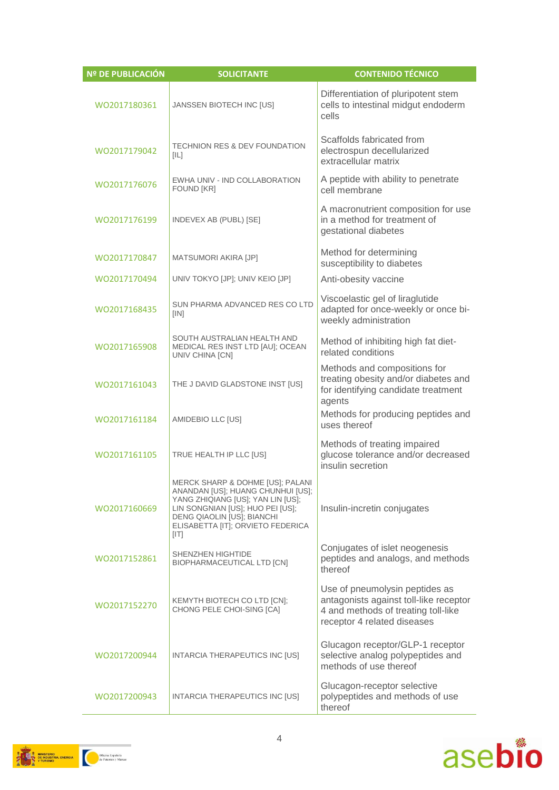| Nº DE PUBLICACIÓN | <b>SOLICITANTE</b>                                                                                                                                                                                                        | <b>CONTENIDO TÉCNICO</b>                                                                                                                       |
|-------------------|---------------------------------------------------------------------------------------------------------------------------------------------------------------------------------------------------------------------------|------------------------------------------------------------------------------------------------------------------------------------------------|
| WO2017180361      | JANSSEN BIOTECH INC [US]                                                                                                                                                                                                  | Differentiation of pluripotent stem<br>cells to intestinal midgut endoderm<br>cells                                                            |
| WO2017179042      | <b>TECHNION RES &amp; DEV FOUNDATION</b><br>[IL]                                                                                                                                                                          | Scaffolds fabricated from<br>electrospun decellularized<br>extracellular matrix                                                                |
| WO2017176076      | EWHA UNIV - IND COLLABORATION<br><b>FOUND [KR]</b>                                                                                                                                                                        | A peptide with ability to penetrate<br>cell membrane                                                                                           |
| WO2017176199      | INDEVEX AB (PUBL) [SE]                                                                                                                                                                                                    | A macronutrient composition for use<br>in a method for treatment of<br>gestational diabetes                                                    |
| WO2017170847      | MATSUMORI AKIRA [JP]                                                                                                                                                                                                      | Method for determining<br>susceptibility to diabetes                                                                                           |
| WO2017170494      | UNIV TOKYO [JP]; UNIV KEIO [JP]                                                                                                                                                                                           | Anti-obesity vaccine                                                                                                                           |
| WO2017168435      | SUN PHARMA ADVANCED RES CO LTD<br>[IN]                                                                                                                                                                                    | Viscoelastic gel of liraglutide<br>adapted for once-weekly or once bi-<br>weekly administration                                                |
| WO2017165908      | SOUTH AUSTRALIAN HEALTH AND<br>MEDICAL RES INST LTD [AU]; OCEAN<br>UNIV CHINA [CN]                                                                                                                                        | Method of inhibiting high fat diet-<br>related conditions                                                                                      |
| WO2017161043      | THE J DAVID GLADSTONE INST [US]                                                                                                                                                                                           | Methods and compositions for<br>treating obesity and/or diabetes and<br>for identifying candidate treatment<br>agents                          |
| WO2017161184      | AMIDEBIO LLC [US]                                                                                                                                                                                                         | Methods for producing peptides and<br>uses thereof                                                                                             |
| WO2017161105      | TRUE HEALTH IP LLC [US]                                                                                                                                                                                                   | Methods of treating impaired<br>glucose tolerance and/or decreased<br>insulin secretion                                                        |
| WO2017160669      | MERCK SHARP & DOHME [US]; PALANI<br>ANANDAN [US]; HUANG CHUNHUI [US];<br>YANG ZHIQIANG [US]; YAN LIN [US];<br>LIN SONGNIAN [US]; HUO PEI [US];<br>DENG QIAOLIN [US]; BIANCHI<br>ELISABETTA [IT]; ORVIETO FEDERICA<br>[IT] | Insulin-incretin conjugates                                                                                                                    |
| WO2017152861      | SHENZHEN HIGHTIDE<br>BIOPHARMACEUTICAL LTD [CN]                                                                                                                                                                           | Conjugates of islet neogenesis<br>peptides and analogs, and methods<br>thereof                                                                 |
| WO2017152270      | KEMYTH BIOTECH CO LTD [CN];<br>CHONG PELE CHOI-SING [CA]                                                                                                                                                                  | Use of pneumolysin peptides as<br>antagonists against toll-like receptor<br>4 and methods of treating toll-like<br>receptor 4 related diseases |
| WO2017200944      | INTARCIA THERAPEUTICS INC [US]                                                                                                                                                                                            | Glucagon receptor/GLP-1 receptor<br>selective analog polypeptides and<br>methods of use thereof                                                |
| WO2017200943      | INTARCIA THERAPEUTICS INC [US]                                                                                                                                                                                            | Glucagon-receptor selective<br>polypeptides and methods of use<br>thereof                                                                      |

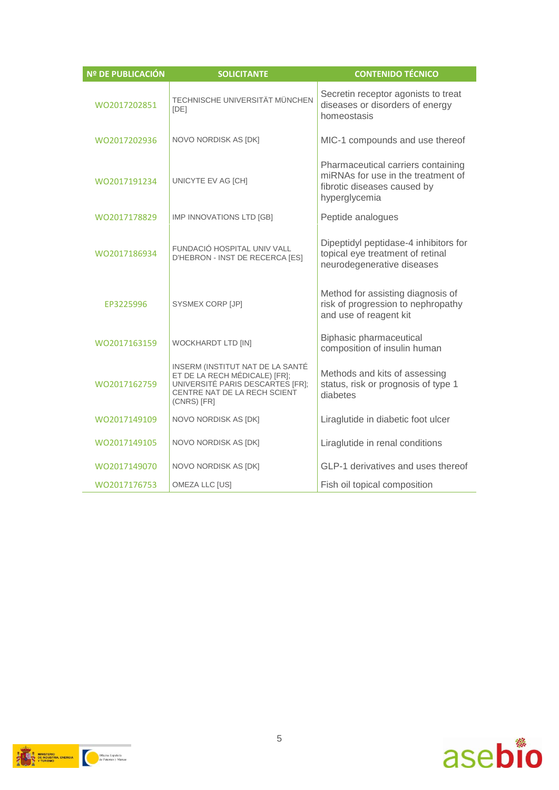| <b>Nº DE PUBLICACIÓN</b> | <b>SOLICITANTE</b>                                                                                                                                   | <b>CONTENIDO TÉCNICO</b>                                                                                                 |
|--------------------------|------------------------------------------------------------------------------------------------------------------------------------------------------|--------------------------------------------------------------------------------------------------------------------------|
| WO2017202851             | TECHNISCHE UNIVERSITÄT MÜNCHEN<br><b>IDE1</b>                                                                                                        | Secretin receptor agonists to treat<br>diseases or disorders of energy<br>homeostasis                                    |
| WO2017202936             | NOVO NORDISK AS [DK]                                                                                                                                 | MIC-1 compounds and use thereof                                                                                          |
| WO2017191234             | UNICYTE EV AG [CH]                                                                                                                                   | Pharmaceutical carriers containing<br>miRNAs for use in the treatment of<br>fibrotic diseases caused by<br>hyperglycemia |
| WO2017178829             | IMP INNOVATIONS LTD [GB]                                                                                                                             | Peptide analogues                                                                                                        |
| WO2017186934             | FUNDACIÓ HOSPITAL UNIV VALL<br>D'HEBRON - INST DE RECERCA [ES]                                                                                       | Dipeptidyl peptidase-4 inhibitors for<br>topical eye treatment of retinal<br>neurodegenerative diseases                  |
| EP3225996                | SYSMEX CORP [JP]                                                                                                                                     | Method for assisting diagnosis of<br>risk of progression to nephropathy<br>and use of reagent kit                        |
| WO2017163159             | <b>WOCKHARDT LTD [IN]</b>                                                                                                                            | <b>Biphasic pharmaceutical</b><br>composition of insulin human                                                           |
| WO2017162759             | INSERM (INSTITUT NAT DE LA SANTÉ<br>ET DE LA RECH MÉDICALE) [FR];<br>UNIVERSITÉ PARIS DESCARTES [FR];<br>CENTRE NAT DE LA RECH SCIENT<br>(CNRS) [FR] | Methods and kits of assessing<br>status, risk or prognosis of type 1<br>diabetes                                         |
| WO2017149109             | NOVO NORDISK AS [DK]                                                                                                                                 | Liraglutide in diabetic foot ulcer                                                                                       |
| WO2017149105             | NOVO NORDISK AS [DK]                                                                                                                                 | Liraglutide in renal conditions                                                                                          |
| WO2017149070             | NOVO NORDISK AS [DK]                                                                                                                                 | GLP-1 derivatives and uses thereof                                                                                       |
| WO2017176753             | OMEZA LLC [US]                                                                                                                                       | Fish oil topical composition                                                                                             |



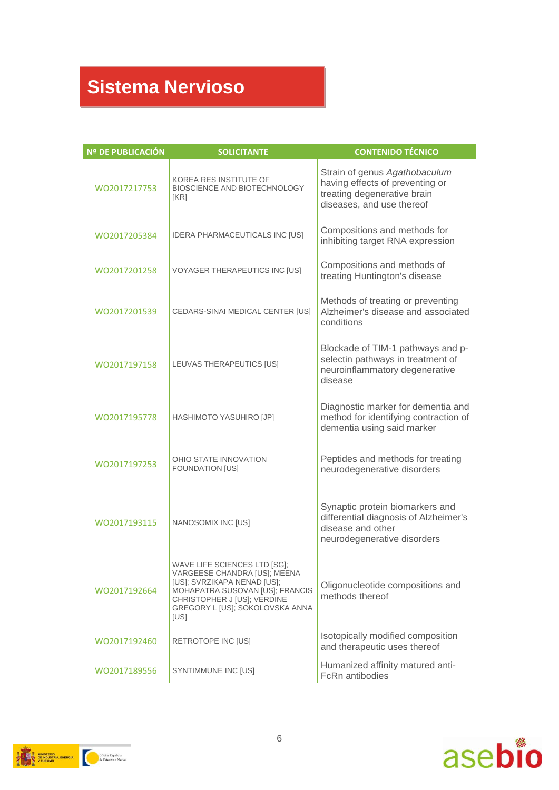## **Sistema Nervioso**

| <b>Nº DE PUBLICACIÓN</b> | <b>SOLICITANTE</b>                                                                                                                                                                                       | <b>CONTENIDO TÉCNICO</b>                                                                                                     |
|--------------------------|----------------------------------------------------------------------------------------------------------------------------------------------------------------------------------------------------------|------------------------------------------------------------------------------------------------------------------------------|
| WO2017217753             | KOREA RES INSTITUTE OF<br>BIOSCIENCE AND BIOTECHNOLOGY<br>[KR]                                                                                                                                           | Strain of genus Agathobaculum<br>having effects of preventing or<br>treating degenerative brain<br>diseases, and use thereof |
| WO2017205384             | IDERA PHARMACEUTICALS INC [US]                                                                                                                                                                           | Compositions and methods for<br>inhibiting target RNA expression                                                             |
| WO2017201258             | VOYAGER THERAPEUTICS INC [US]                                                                                                                                                                            | Compositions and methods of<br>treating Huntington's disease                                                                 |
| WO2017201539             | CEDARS-SINAI MEDICAL CENTER [US]                                                                                                                                                                         | Methods of treating or preventing<br>Alzheimer's disease and associated<br>conditions                                        |
| WO2017197158             | LEUVAS THERAPEUTICS [US]                                                                                                                                                                                 | Blockade of TIM-1 pathways and p-<br>selectin pathways in treatment of<br>neuroinflammatory degenerative<br>disease          |
| WO2017195778             | HASHIMOTO YASUHIRO [JP]                                                                                                                                                                                  | Diagnostic marker for dementia and<br>method for identifying contraction of<br>dementia using said marker                    |
| WO2017197253             | OHIO STATE INNOVATION<br>FOUNDATION [US]                                                                                                                                                                 | Peptides and methods for treating<br>neurodegenerative disorders                                                             |
| WO2017193115             | NANOSOMIX INC [US]                                                                                                                                                                                       | Synaptic protein biomarkers and<br>differential diagnosis of Alzheimer's<br>disease and other<br>neurodegenerative disorders |
| WO2017192664             | WAVE LIFE SCIENCES LTD [SG];<br>VARGEESE CHANDRA [US]; MEENA<br>[US]; SVRZIKAPA NENAD [US];<br>MOHAPATRA SUSOVAN [US]; FRANCIS<br>CHRISTOPHER J [US]; VERDINE<br>GREGORY L [US]; SOKOLOVSKA ANNA<br>[US] | Oligonucleotide compositions and<br>methods thereof                                                                          |
| WO2017192460             | RETROTOPE INC [US]                                                                                                                                                                                       | Isotopically modified composition<br>and therapeutic uses thereof                                                            |
| WO2017189556             | SYNTIMMUNE INC [US]                                                                                                                                                                                      | Humanized affinity matured anti-<br>FcRn antibodies                                                                          |



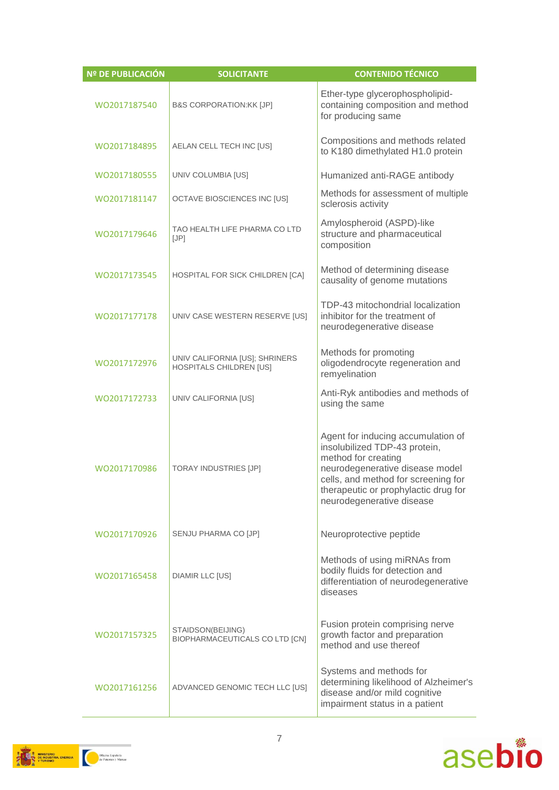| <b>Nº DE PUBLICACIÓN</b> | <b>SOLICITANTE</b>                                        | <b>CONTENIDO TÉCNICO</b>                                                                                                                                                                                                                  |
|--------------------------|-----------------------------------------------------------|-------------------------------------------------------------------------------------------------------------------------------------------------------------------------------------------------------------------------------------------|
| WO2017187540             | <b>B&amp;S CORPORATION:KK [JP]</b>                        | Ether-type glycerophospholipid-<br>containing composition and method<br>for producing same                                                                                                                                                |
| WO2017184895             | AELAN CELL TECH INC [US]                                  | Compositions and methods related<br>to K180 dimethylated H1.0 protein                                                                                                                                                                     |
| WO2017180555             | UNIV COLUMBIA [US]                                        | Humanized anti-RAGE antibody                                                                                                                                                                                                              |
| WO2017181147             | <b>OCTAVE BIOSCIENCES INC [US]</b>                        | Methods for assessment of multiple<br>sclerosis activity                                                                                                                                                                                  |
| WO2017179646             | TAO HEALTH LIFE PHARMA CO LTD<br>[JP]                     | Amylospheroid (ASPD)-like<br>structure and pharmaceutical<br>composition                                                                                                                                                                  |
| WO2017173545             | HOSPITAL FOR SICK CHILDREN [CA]                           | Method of determining disease<br>causality of genome mutations                                                                                                                                                                            |
| WO2017177178             | UNIV CASE WESTERN RESERVE [US]                            | TDP-43 mitochondrial localization<br>inhibitor for the treatment of<br>neurodegenerative disease                                                                                                                                          |
| WO2017172976             | UNIV CALIFORNIA [US]; SHRINERS<br>HOSPITALS CHILDREN [US] | Methods for promoting<br>oligodendrocyte regeneration and<br>remyelination                                                                                                                                                                |
| WO2017172733             | UNIV CALIFORNIA [US]                                      | Anti-Ryk antibodies and methods of<br>using the same                                                                                                                                                                                      |
| WO2017170986             | <b>TORAY INDUSTRIES [JP]</b>                              | Agent for inducing accumulation of<br>insolubilized TDP-43 protein,<br>method for creating<br>neurodegenerative disease model<br>cells, and method for screening for<br>therapeutic or prophylactic drug for<br>neurodegenerative disease |
| WO2017170926             | SENJU PHARMA CO [JP]                                      | Neuroprotective peptide                                                                                                                                                                                                                   |
| WO2017165458             | <b>DIAMIR LLC [US]</b>                                    | Methods of using miRNAs from<br>bodily fluids for detection and<br>differentiation of neurodegenerative<br>diseases                                                                                                                       |
| WO2017157325             | STAIDSON(BEIJING)<br>BIOPHARMACEUTICALS CO LTD [CN]       | Fusion protein comprising nerve<br>growth factor and preparation<br>method and use thereof                                                                                                                                                |
| WO2017161256             | ADVANCED GENOMIC TECH LLC [US]                            | Systems and methods for<br>determining likelihood of Alzheimer's<br>disease and/or mild cognitive<br>impairment status in a patient                                                                                                       |



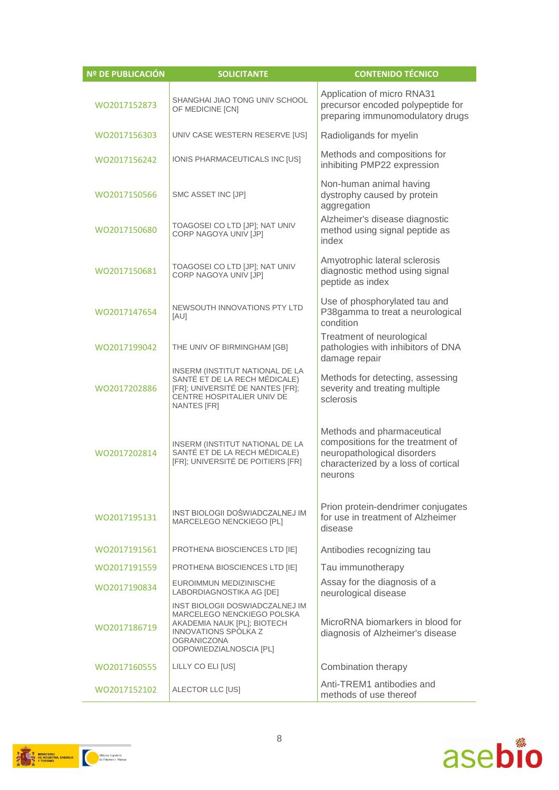| <b>Nº DE PUBLICACIÓN</b> | <b>SOLICITANTE</b>                                                                                                                                                           | <b>CONTENIDO TÉCNICO</b>                                                                                                                         |
|--------------------------|------------------------------------------------------------------------------------------------------------------------------------------------------------------------------|--------------------------------------------------------------------------------------------------------------------------------------------------|
| WO2017152873             | SHANGHAI JIAO TONG UNIV SCHOOL<br>OF MEDICINE [CN]                                                                                                                           | Application of micro RNA31<br>precursor encoded polypeptide for<br>preparing immunomodulatory drugs                                              |
| WO2017156303             | UNIV CASE WESTERN RESERVE [US]                                                                                                                                               | Radioligands for myelin                                                                                                                          |
| WO2017156242             | IONIS PHARMACEUTICALS INC [US]                                                                                                                                               | Methods and compositions for<br>inhibiting PMP22 expression                                                                                      |
| WO2017150566             | SMC ASSET INC [JP]                                                                                                                                                           | Non-human animal having<br>dystrophy caused by protein<br>aggregation                                                                            |
| WO2017150680             | TOAGOSEI CO LTD [JP]; NAT UNIV<br>CORP NAGOYA UNIV [JP]                                                                                                                      | Alzheimer's disease diagnostic<br>method using signal peptide as<br>index                                                                        |
| WO2017150681             | TOAGOSEI CO LTD [JP]; NAT UNIV<br>CORP NAGOYA UNIV [JP]                                                                                                                      | Amyotrophic lateral sclerosis<br>diagnostic method using signal<br>peptide as index                                                              |
| W02017147654             | NEWSOUTH INNOVATIONS PTY LTD<br>[AU]                                                                                                                                         | Use of phosphorylated tau and<br>P38gamma to treat a neurological<br>condition                                                                   |
| WO2017199042             | THE UNIV OF BIRMINGHAM [GB]                                                                                                                                                  | Treatment of neurological<br>pathologies with inhibitors of DNA<br>damage repair                                                                 |
| WO2017202886             | INSERM (INSTITUT NATIONAL DE LA<br>SANTÉ ET DE LA RECH MÉDICALE)<br>[FR]; UNIVERSITÉ DE NANTES [FR];<br>CENTRE HOSPITALIER UNIV DE<br><b>NANTES [FR]</b>                     | Methods for detecting, assessing<br>severity and treating multiple<br>sclerosis                                                                  |
| WO2017202814             | INSERM (INSTITUT NATIONAL DE LA<br>SANTÉ ET DE LA RECH MÉDICALE)<br>[FR]; UNIVERSITÉ DE POITIERS [FR]                                                                        | Methods and pharmaceutical<br>compositions for the treatment of<br>neuropathological disorders<br>characterized by a loss of cortical<br>neurons |
| WO2017195131             | INST BIOLOGII DOŚWIADCZALNEJ IM<br>MARCELEGO NENCKIEGO [PL]                                                                                                                  | Prion protein-dendrimer conjugates<br>for use in treatment of Alzheimer<br>disease                                                               |
| WO2017191561             | PROTHENA BIOSCIENCES LTD [IE]                                                                                                                                                | Antibodies recognizing tau                                                                                                                       |
| WO2017191559             | PROTHENA BIOSCIENCES LTD [IE]                                                                                                                                                | Tau immunotherapy                                                                                                                                |
| WO2017190834             | EUROIMMUN MEDIZINISCHE<br>LABORDIAGNOSTIKA AG [DE]                                                                                                                           | Assay for the diagnosis of a<br>neurological disease                                                                                             |
| WO2017186719             | INST BIOLOGII DOSWIADCZALNEJ IM<br>MARCELEGO NENCKIEGO POLSKA<br>AKADEMIA NAUK [PL]; BIOTECH<br><b>INNOVATIONS SPOLKA Z</b><br><b>OGRANICZONA</b><br>ODPOWIEDZIALNOSCIA [PL] | MicroRNA biomarkers in blood for<br>diagnosis of Alzheimer's disease                                                                             |
| WO2017160555             | LILLY CO ELI [US]                                                                                                                                                            | Combination therapy                                                                                                                              |
| WO2017152102             | ALECTOR LLC [US]                                                                                                                                                             | Anti-TREM1 antibodies and<br>methods of use thereof                                                                                              |



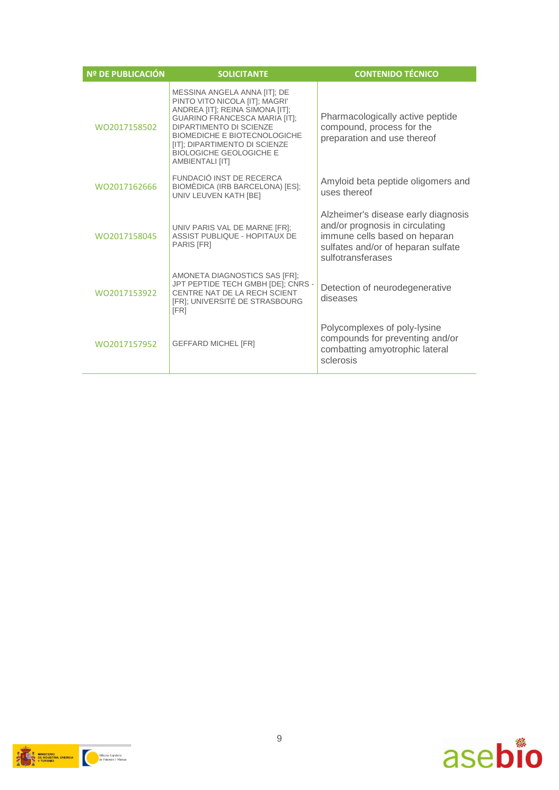| <b>Nº DE PUBLICACIÓN</b> | <b>SOLICITANTE</b>                                                                                                                                                                                                                                                                                | <b>CONTENIDO TÉCNICO</b>                                                                                                                                           |
|--------------------------|---------------------------------------------------------------------------------------------------------------------------------------------------------------------------------------------------------------------------------------------------------------------------------------------------|--------------------------------------------------------------------------------------------------------------------------------------------------------------------|
| WO2017158502             | MESSINA ANGELA ANNA [IT]; DE<br>PINTO VITO NICOLA [IT]; MAGRI'<br>ANDREA [IT]; REINA SIMONA [IT];<br><b>GUARINO FRANCESCA MARIA [IT]:</b><br>DIPARTIMENTO DI SCIENZE<br><b>BIOMEDICHE E BIOTECNOLOGICHE</b><br>[IT]; DIPARTIMENTO DI SCIENZE<br><b>BIOLOGICHE GEOLOGICHE E</b><br>AMBIENTALI [IT] | Pharmacologically active peptide<br>compound, process for the<br>preparation and use thereof                                                                       |
| WO2017162666             | FUNDACIÓ INST DE RECERCA<br>BIOMÈDICA (IRB BARCELONA) [ES];<br>UNIV LEUVEN KATH [BE]                                                                                                                                                                                                              | Amyloid beta peptide oligomers and<br>uses thereof                                                                                                                 |
| WO2017158045             | UNIV PARIS VAL DE MARNE [FR];<br><b>ASSIST PUBLIQUE - HOPITAUX DE</b><br>PARIS [FR]                                                                                                                                                                                                               | Alzheimer's disease early diagnosis<br>and/or prognosis in circulating<br>immune cells based on heparan<br>sulfates and/or of heparan sulfate<br>sulfotransferases |
| WO2017153922             | AMONETA DIAGNOSTICS SAS [FR];<br>JPT PEPTIDE TECH GMBH [DE]; CNRS -<br>CENTRE NAT DE LA RECH SCIENT<br>[FR]; UNIVERSITÉ DE STRASBOURG<br>[FR]                                                                                                                                                     | Detection of neurodegenerative<br>diseases                                                                                                                         |
| WO2017157952             | <b>GEFFARD MICHEL [FR]</b>                                                                                                                                                                                                                                                                        | Polycomplexes of poly-lysine<br>compounds for preventing and/or<br>combatting amyotrophic lateral<br>sclerosis                                                     |



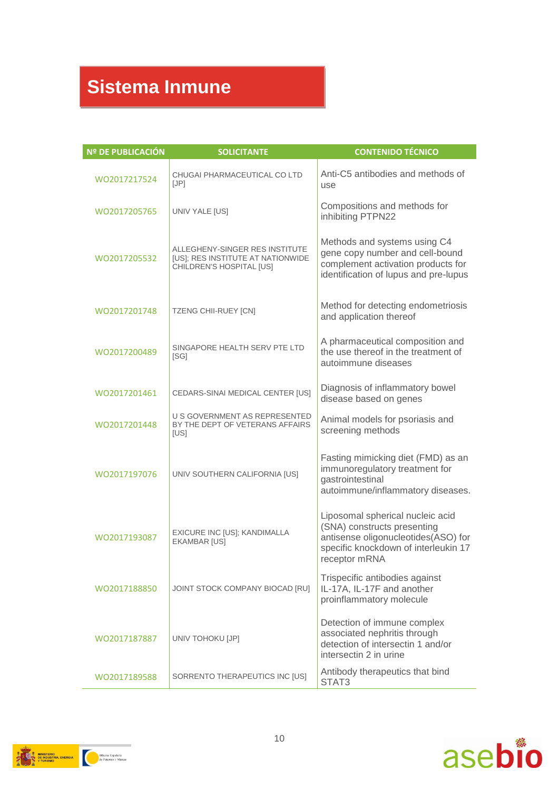## **Sistema Inmune**

| Nº DE PUBLICACIÓN | <b>SOLICITANTE</b>                                                                              | <b>CONTENIDO TÉCNICO</b>                                                                                                                                        |
|-------------------|-------------------------------------------------------------------------------------------------|-----------------------------------------------------------------------------------------------------------------------------------------------------------------|
| WO2017217524      | CHUGAI PHARMACEUTICAL CO LTD<br>[JP]                                                            | Anti-C5 antibodies and methods of<br>use                                                                                                                        |
| WO2017205765      | UNIV YALE [US]                                                                                  | Compositions and methods for<br>inhibiting PTPN22                                                                                                               |
| WO2017205532      | ALLEGHENY-SINGER RES INSTITUTE<br>[US]; RES INSTITUTE AT NATIONWIDE<br>CHILDREN'S HOSPITAL [US] | Methods and systems using C4<br>gene copy number and cell-bound<br>complement activation products for<br>identification of lupus and pre-lupus                  |
| WO2017201748      | <b>TZENG CHII-RUEY [CN]</b>                                                                     | Method for detecting endometriosis<br>and application thereof                                                                                                   |
| WO2017200489      | SINGAPORE HEALTH SERV PTE LTD<br>[SG]                                                           | A pharmaceutical composition and<br>the use thereof in the treatment of<br>autoimmune diseases                                                                  |
| WO2017201461      | CEDARS-SINAI MEDICAL CENTER [US]                                                                | Diagnosis of inflammatory bowel<br>disease based on genes                                                                                                       |
| WO2017201448      | U S GOVERNMENT AS REPRESENTED<br>BY THE DEPT OF VETERANS AFFAIRS<br>[US]                        | Animal models for psoriasis and<br>screening methods                                                                                                            |
| WO2017197076      | UNIV SOUTHERN CALIFORNIA [US]                                                                   | Fasting mimicking diet (FMD) as an<br>immunoregulatory treatment for<br>gastrointestinal<br>autoimmune/inflammatory diseases.                                   |
| WO2017193087      | EXICURE INC [US]; KANDIMALLA<br><b>EKAMBAR [US]</b>                                             | Liposomal spherical nucleic acid<br>(SNA) constructs presenting<br>antisense oligonucleotides(ASO) for<br>specific knockdown of interleukin 17<br>receptor mRNA |
| WO2017188850      | JOINT STOCK COMPANY BIOCAD [RU]                                                                 | Trispecific antibodies against<br>IL-17A, IL-17F and another<br>proinflammatory molecule                                                                        |
| WO2017187887      | UNIV TOHOKU [JP]                                                                                | Detection of immune complex<br>associated nephritis through<br>detection of intersectin 1 and/or<br>intersectin 2 in urine                                      |
| WO2017189588      | SORRENTO THERAPEUTICS INC [US]                                                                  | Antibody therapeutics that bind<br>STAT3                                                                                                                        |



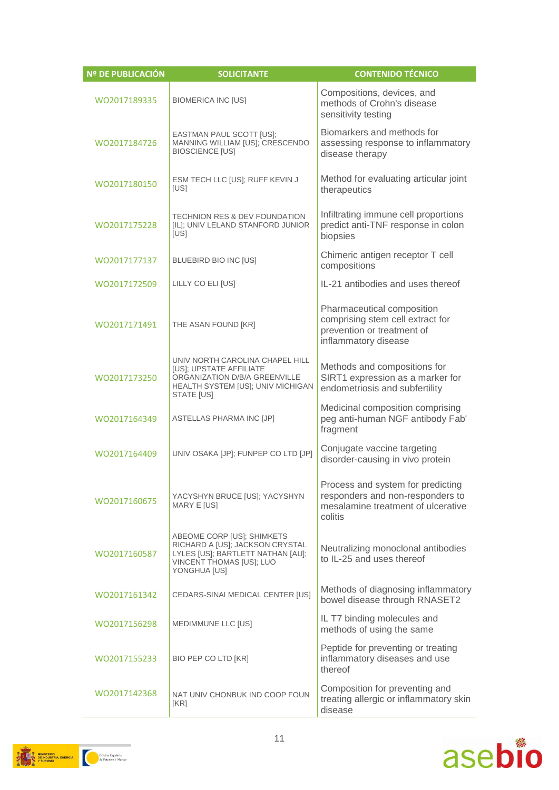| Nº DE PUBLICACIÓN | <b>SOLICITANTE</b>                                                                                                                             | <b>CONTENIDO TÉCNICO</b>                                                                                               |
|-------------------|------------------------------------------------------------------------------------------------------------------------------------------------|------------------------------------------------------------------------------------------------------------------------|
| WO2017189335      | <b>BIOMERICA INC [US]</b>                                                                                                                      | Compositions, devices, and<br>methods of Crohn's disease<br>sensitivity testing                                        |
| WO2017184726      | EASTMAN PAUL SCOTT [US];<br>MANNING WILLIAM [US]; CRESCENDO<br><b>BIOSCIENCE [US]</b>                                                          | Biomarkers and methods for<br>assessing response to inflammatory<br>disease therapy                                    |
| WO2017180150      | ESM TECH LLC [US]; RUFF KEVIN J<br>[US]                                                                                                        | Method for evaluating articular joint<br>therapeutics                                                                  |
| WO2017175228      | <b>TECHNION RES &amp; DEV FOUNDATION</b><br>[IL]; UNIV LELAND STANFORD JUNIOR<br>[US]                                                          | Infiltrating immune cell proportions<br>predict anti-TNF response in colon<br>biopsies                                 |
| WO2017177137      | BLUEBIRD BIO INC [US]                                                                                                                          | Chimeric antigen receptor T cell<br>compositions                                                                       |
| WO2017172509      | LILLY CO ELI [US]                                                                                                                              | IL-21 antibodies and uses thereof                                                                                      |
| WO2017171491      | THE ASAN FOUND [KR]                                                                                                                            | Pharmaceutical composition<br>comprising stem cell extract for<br>prevention or treatment of<br>inflammatory disease   |
| WO2017173250      | UNIV NORTH CAROLINA CHAPEL HILL<br>[US]; UPSTATE AFFILIATE<br>ORGANIZATION D/B/A GREENVILLE<br>HEALTH SYSTEM [US]; UNIV MICHIGAN<br>STATE [US] | Methods and compositions for<br>SIRT1 expression as a marker for<br>endometriosis and subfertility                     |
| WO2017164349      | ASTELLAS PHARMA INC [JP]                                                                                                                       | Medicinal composition comprising<br>peg anti-human NGF antibody Fab'<br>fragment                                       |
| WO2017164409      | UNIV OSAKA [JP]; FUNPEP CO LTD [JP]                                                                                                            | Conjugate vaccine targeting<br>disorder-causing in vivo protein                                                        |
| WO2017160675      | YACYSHYN BRUCE [US]; YACYSHYN<br>MARY E [US]                                                                                                   | Process and system for predicting<br>responders and non-responders to<br>mesalamine treatment of ulcerative<br>colitis |
| WO2017160587      | ABEOME CORP [US]; SHIMKETS<br>RICHARD A [US]; JACKSON CRYSTAL<br>LYLES [US]; BARTLETT NATHAN [AU];<br>VINCENT THOMAS [US]; LUO<br>YONGHUA [US] | Neutralizing monoclonal antibodies<br>to IL-25 and uses thereof                                                        |
| WO2017161342      | CEDARS-SINAI MEDICAL CENTER [US]                                                                                                               | Methods of diagnosing inflammatory<br>bowel disease through RNASET2                                                    |
| WO2017156298      | MEDIMMUNE LLC [US]                                                                                                                             | IL T7 binding molecules and<br>methods of using the same                                                               |
| WO2017155233      | BIO PEP CO LTD [KR]                                                                                                                            | Peptide for preventing or treating<br>inflammatory diseases and use<br>thereof                                         |
| WO2017142368      | NAT UNIV CHONBUK IND COOP FOUN<br>[KR]                                                                                                         | Composition for preventing and<br>treating allergic or inflammatory skin<br>disease                                    |



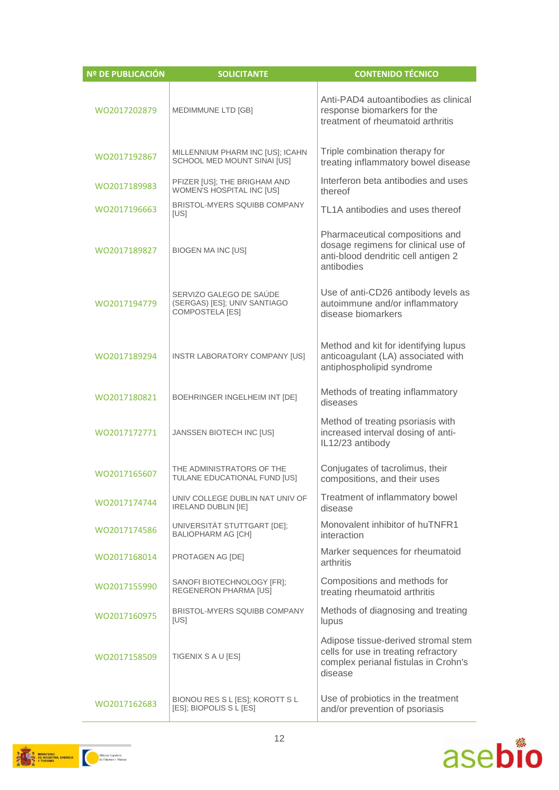| <b>Nº DE PUBLICACIÓN</b> | <b>SOLICITANTE</b>                                                                | <b>CONTENIDO TÉCNICO</b>                                                                                                       |
|--------------------------|-----------------------------------------------------------------------------------|--------------------------------------------------------------------------------------------------------------------------------|
| WO2017202879             | MEDIMMUNE LTD [GB]                                                                | Anti-PAD4 autoantibodies as clinical<br>response biomarkers for the<br>treatment of rheumatoid arthritis                       |
| WO2017192867             | MILLENNIUM PHARM INC [US]; ICAHN<br>SCHOOL MED MOUNT SINAI [US]                   | Triple combination therapy for<br>treating inflammatory bowel disease                                                          |
| WO2017189983             | PFIZER [US]; THE BRIGHAM AND<br>WOMEN'S HOSPITAL INC [US]                         | Interferon beta antibodies and uses<br>thereof                                                                                 |
| WO2017196663             | <b>BRISTOL-MYERS SQUIBB COMPANY</b><br>[US]                                       | TL1A antibodies and uses thereof                                                                                               |
| WO2017189827             | <b>BIOGEN MA INC [US]</b>                                                         | Pharmaceutical compositions and<br>dosage regimens for clinical use of<br>anti-blood dendritic cell antigen 2<br>antibodies    |
| WO2017194779             | SERVIZO GALEGO DE SAÚDE<br>(SERGAS) [ES]; UNIV SANTIAGO<br><b>COMPOSTELA [ES]</b> | Use of anti-CD26 antibody levels as<br>autoimmune and/or inflammatory<br>disease biomarkers                                    |
| WO2017189294             | INSTR LABORATORY COMPANY [US]                                                     | Method and kit for identifying lupus<br>anticoagulant (LA) associated with<br>antiphospholipid syndrome                        |
| WO2017180821             | BOEHRINGER INGELHEIM INT [DE]                                                     | Methods of treating inflammatory<br>diseases                                                                                   |
| WO2017172771             | JANSSEN BIOTECH INC [US]                                                          | Method of treating psoriasis with<br>increased interval dosing of anti-<br>IL12/23 antibody                                    |
| WO2017165607             | THE ADMINISTRATORS OF THE<br>TULANE EDUCATIONAL FUND [US]                         | Conjugates of tacrolimus, their<br>compositions, and their uses                                                                |
| WO2017174744             | UNIV COLLEGE DUBLIN NAT UNIV OF<br><b>IRELAND DUBLIN [IE]</b>                     | Treatment of inflammatory bowel<br>disease                                                                                     |
| WO2017174586             | UNIVERSITÄT STUTTGART [DE];<br><b>BALIOPHARM AG [CH]</b>                          | Monovalent inhibitor of huTNFR1<br>interaction                                                                                 |
| WO2017168014             | PROTAGEN AG [DE]                                                                  | Marker sequences for rheumatoid<br>arthritis                                                                                   |
| WO2017155990             | SANOFI BIOTECHNOLOGY [FR];<br>REGENERON PHARMA [US]                               | Compositions and methods for<br>treating rheumatoid arthritis                                                                  |
| WO2017160975             | <b>BRISTOL-MYERS SQUIBB COMPANY</b><br>[US]                                       | Methods of diagnosing and treating<br>lupus                                                                                    |
| WO2017158509             | TIGENIX S A U [ES]                                                                | Adipose tissue-derived stromal stem<br>cells for use in treating refractory<br>complex perianal fistulas in Crohn's<br>disease |
| WO2017162683             | BIONOU RES S L [ES]; KOROTT S L<br>[ES]; BIOPOLIS S L [ES]                        | Use of probiotics in the treatment<br>and/or prevention of psoriasis                                                           |



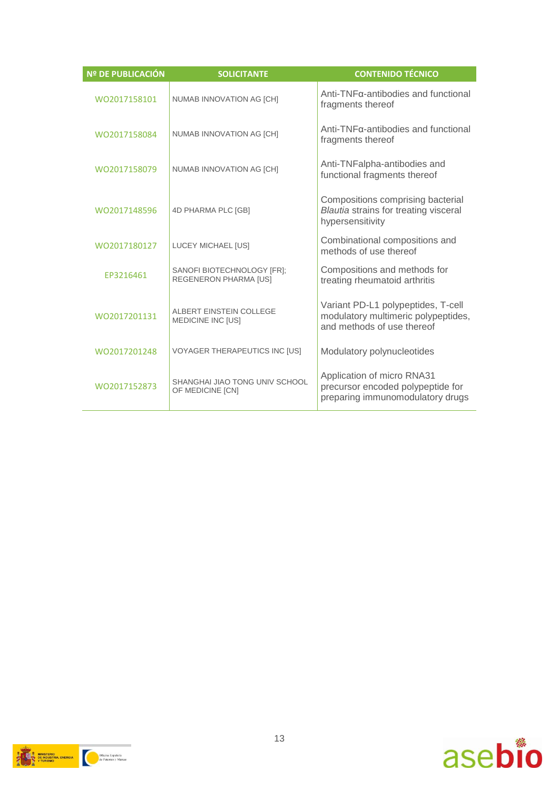| <b>Nº DE PUBLICACIÓN</b> | <b>SOLICITANTE</b>                                         | <b>CONTENIDO TÉCNICO</b>                                                                                |
|--------------------------|------------------------------------------------------------|---------------------------------------------------------------------------------------------------------|
| WO2017158101             | NUMAB INNOVATION AG [CH]                                   | Anti-TNFα-antibodies and functional<br>fragments thereof                                                |
| WO2017158084             | NUMAB INNOVATION AG [CH]                                   | Anti-TNFα-antibodies and functional<br>fragments thereof                                                |
| WO2017158079             | NUMAB INNOVATION AG [CH]                                   | Anti-TNFalpha-antibodies and<br>functional fragments thereof                                            |
| WO2017148596             | 4D PHARMA PLC [GB]                                         | Compositions comprising bacterial<br>Blautia strains for treating visceral<br>hypersensitivity          |
| WO2017180127             | LUCEY MICHAEL [US]                                         | Combinational compositions and<br>methods of use thereof                                                |
| FP3216461                | SANOFI BIOTECHNOLOGY [FR];<br><b>REGENERON PHARMA [US]</b> | Compositions and methods for<br>treating rheumatoid arthritis                                           |
| WO2017201131             | ALBERT EINSTEIN COLLEGE<br><b>MEDICINE INC [US]</b>        | Variant PD-L1 polypeptides, T-cell<br>modulatory multimeric polypeptides,<br>and methods of use thereof |
| WO2017201248             | <b>VOYAGER THERAPEUTICS INC [US]</b>                       | Modulatory polynucleotides                                                                              |
| WO2017152873             | SHANGHAI JIAO TONG UNIV SCHOOL<br>OF MEDICINE [CN]         | Application of micro RNA31<br>precursor encoded polypeptide for<br>preparing immunomodulatory drugs     |



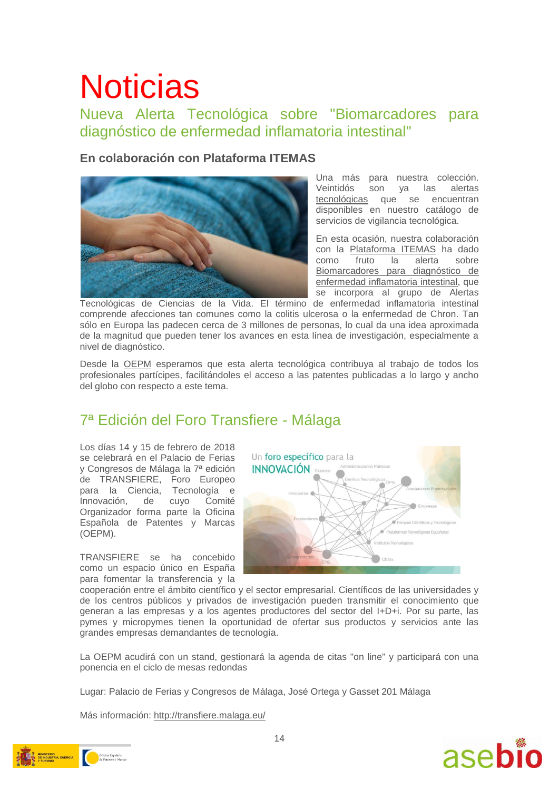# **Noticias**

### Nueva Alerta Tecnológica sobre "Biomarcadores para diagnóstico de enfermedad inflamatoria intestinal"

### **En colaboración con Plataforma ITEMAS**



Una más para nuestra colección. Veintidós son ya las [alertas](http://www.oepm.es/es/informacion_tecnologica/informacion_gratuita/Alertas_Tecnologicas/index.html)  [tecnológicas](http://www.oepm.es/es/informacion_tecnologica/informacion_gratuita/Alertas_Tecnologicas/index.html) que se encuentran disponibles en nuestro catálogo de servicios de vigilancia tecnológica.

En esta ocasión, nuestra colaboración con la [Plataforma ITEMAS](http://www.itemas.org/) ha dado como fruto la alerta sobre [Biomarcadores para diagnóstico de](http://www.oepm.es/es/informacion_tecnologica/informacion_gratuita/Alertas_Tecnologicas/detalle.html?id=32751)  [enfermedad inflamatoria intestinal,](http://www.oepm.es/es/informacion_tecnologica/informacion_gratuita/Alertas_Tecnologicas/detalle.html?id=32751) que se incorpora al grupo de Alertas

Tecnológicas de Ciencias de la Vida. El término de enfermedad inflamatoria intestinal comprende afecciones tan comunes como la colitis ulcerosa o la enfermedad de Chron. Tan sólo en Europa las padecen cerca de 3 millones de personas, lo cual da una idea aproximada de la magnitud que pueden tener los avances en esta línea de investigación, especialmente a nivel de diagnóstico.

Desde la [OEPM](http://www.oepm.es/es/index.html) esperamos que esta alerta tecnológica contribuya al trabajo de todos los profesionales partícipes, facilitándoles el acceso a las patentes publicadas a lo largo y ancho del globo con respecto a este tema.

### 7ª Edición del Foro Transfiere - Málaga

Los días 14 y 15 de febrero de 2018 se celebrará en el Palacio de Ferias y Congresos de Málaga la 7ª edición de TRANSFIERE, Foro Europeo para la Ciencia, Tecnología e Innovación, de cuyo Comité Organizador forma parte la Oficina Española de Patentes y Marcas (OEPM).

TRANSFIERE se ha concebido como un espacio único en España para fomentar la transferencia y la



cooperación entre el ámbito científico y el sector empresarial. Científicos de las universidades y de los centros públicos y privados de investigación pueden transmitir el conocimiento que generan a las empresas y a los agentes productores del sector del I+D+i. Por su parte, las pymes y micropymes tienen la oportunidad de ofertar sus productos y servicios ante las grandes empresas demandantes de tecnología.

La OEPM acudirá con un stand, gestionará la agenda de citas "on line" y participará con una ponencia en el ciclo de mesas redondas

Lugar: Palacio de Ferias y Congresos de Málaga, José Ortega y Gasset 201 Málaga

Más información:<http://transfiere.malaga.eu/>



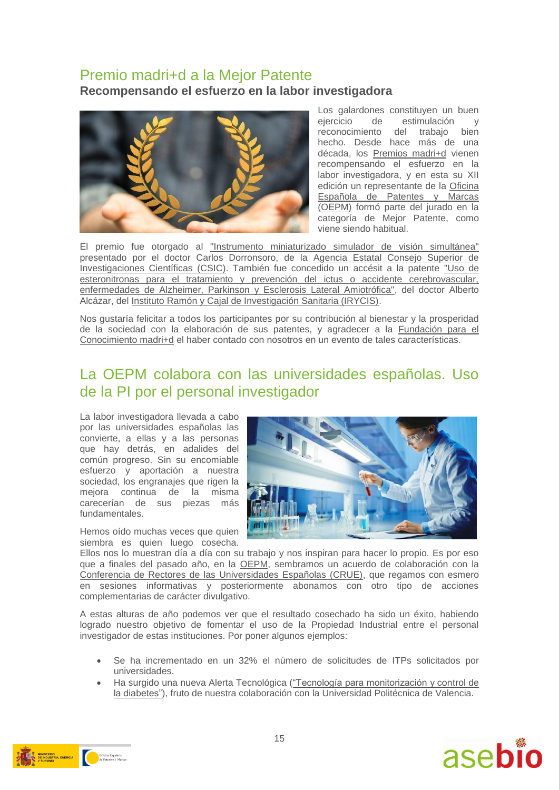### Premio madri+d a la Mejor Patente **Recompensando el esfuerzo en la labor investigadora**



Los galardones constituven un buen ejercicio de estimulación y reconocimiento del trabajo bien hecho. Desde hace más de una década, los [Premios madri+d](https://www.madrimasd.org/fundacion/galardonados) vienen recompensando el esfuerzo en la labor investigadora, y en esta su XII edición un representante de la [Oficina](https://www.oepm.es/)  [Española de Patentes y Marcas](https://www.oepm.es/)  [\(OEPM\)](https://www.oepm.es/) formó parte del jurado en la categoría de Mejor Patente, como viene siendo habitual.

El premio fue otorgado al ["Instrumento miniaturizado simulador de visión simultánea"](http://digital.csic.es/bitstream/10261/135949/1/ES2535126B1.pdf) presentado por el doctor Carlos Dorronsoro, de la [Agencia Estatal Consejo Superior de](http://www.csic.es/)  [Investigaciones Científicas \(CSIC\).](http://www.csic.es/) También fue concedido un accésit a la patente ["Uso de](http://digital.csic.es/bitstream/10261/124885/1/ES2525503_A1.pdf)  [esteronitronas para el tratamiento y prevención del ictus o accidente cerebrovascular,](http://digital.csic.es/bitstream/10261/124885/1/ES2525503_A1.pdf)  [enfermedades de Alzheimer, Parkinson y Esclerosis Lateral Amiotrófica",](http://digital.csic.es/bitstream/10261/124885/1/ES2525503_A1.pdf) del doctor Alberto Alcázar, del [Instituto Ramón y Cajal de Investigación Sanitaria \(IRYCIS\).](http://www.irycis.org/)

Nos gustaría felicitar a todos los participantes por su contribución al bienestar y la prosperidad de la sociedad con la elaboración de sus patentes, y agradecer a la [Fundación para el](https://www.madrimasd.org/)  [Conocimiento madri+d](https://www.madrimasd.org/) el haber contado con nosotros en un evento de tales características.

### La OEPM colabora con las universidades españolas. Uso de la PI por el personal investigador

La labor investigadora llevada a cabo por las universidades españolas las convierte, a ellas y a las personas que hay detrás, en adalides del común progreso. Sin su encomiable esfuerzo y aportación a nuestra sociedad, los engranajes que rigen la mejora continua de la misma carecerían de sus piezas más fundamentales.

Hemos oído muchas veces que quien siembra es quien luego cosecha.



Ellos nos lo muestran día a día con su trabajo y nos inspiran para hacer lo propio. Es por eso que a finales del pasado año, en la [OEPM,](http://www.oepm.es/) sembramos un acuerdo de colaboración con la [Conferencia de Rectores de las Universidades Españolas \(CRUE\),](http://www.crue.org/) que regamos con esmero en sesiones informativas y posteriormente abonamos con otro tipo de acciones complementarias de carácter divulgativo.

A estas alturas de año podemos ver que el resultado cosechado ha sido un éxito, habiendo logrado nuestro objetivo de fomentar el uso de la Propiedad Industrial entre el personal investigador de estas instituciones. Por poner algunos ejemplos:

- Se ha incrementado en un 32% el número de solicitudes de ITPs solicitados por universidades.
- Ha surgido una nueva Alerta Tecnológica [\("Tecnología para monitorización y control de](http://www.oepm.es/es/informacion_tecnologica/informacion_gratuita/Alertas_Tecnologicas/detalle.html?id=32600)  [la diabetes"\)](http://www.oepm.es/es/informacion_tecnologica/informacion_gratuita/Alertas_Tecnologicas/detalle.html?id=32600), fruto de nuestra colaboración con la Universidad Politécnica de Valencia.